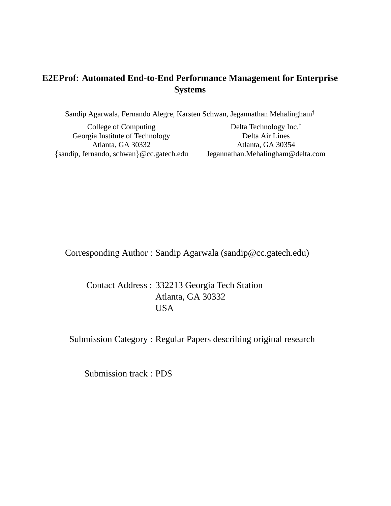# **E2EProf: Automated End-to-End Performance Management for Enterprise Systems**

Sandip Agarwala, Fernando Alegre, Karsten Schwan, Jegannathan Mehalingham†

College of Computing Georgia Institute of Technology Atlanta, GA 30332 {sandip, fernando, schwan}@cc.gatech.edu

Delta Technology Inc.† Delta Air Lines Atlanta, GA 30354 Jegannathan.Mehalingham@delta.com

Corresponding Author : Sandip Agarwala (sandip@cc.gatech.edu)

Contact Address : 332213 Georgia Tech Station Atlanta, GA 30332 USA

Submission Category : Regular Papers describing original research

Submission track : PDS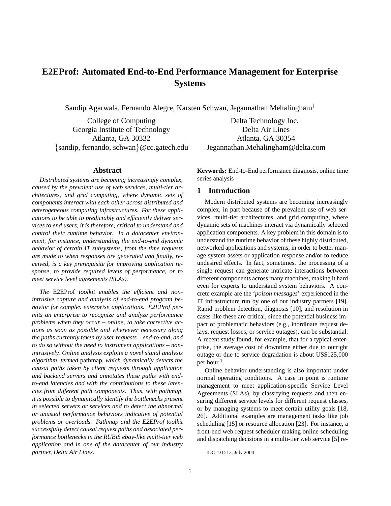# **E2EProf: Automated End-to-End Performance Management for Enterprise Systems**

Sandip Agarwala, Fernando Alegre, Karsten Schwan, Jegannathan Mehalingham†

College of Computing Georgia Institute of Technology Atlanta, GA 30332 {sandip, fernando, schwan}@cc.gatech.edu

Delta Technology Inc.† Delta Air Lines Atlanta, GA 30354 Jegannathan.Mehalingham@delta.com

# **Abstract**

*Distributed systems are becoming increasingly complex, caused by the prevalent use of web services, multi-tier architectures, and grid computing, where dynamic sets of components interact with each other across distributed and heterogeneous computing infrastructures. For these applications to be able to predictably and efficiently deliver services to end users, it is therefore, critical to understand and control their runtime behavior. In a datacenter environment, for instance, understanding the end-to-end dynamic behavior of certain IT subsystems, from the time requests are made to when responses are generated and finally, received, is a key prerequisite for improving application response, to provide required levels of performance, or to meet service level agreements (SLAs).*

*The* E2EProf *toolkit enables the efficient and nonintrusive capture and analysis of end-to-end program behavior for complex enterprise applications. E2EProf permits an enterprise to recognize and analyze performance problems when they occur – online, to take corrective actions as soon as possible and whereever necessary along the paths currently taken by user requests – end-to-end, and to do so without the need to instrument applications – nonintrusively. Online analysis exploits a novel signal analysis algorithm, termed* pathmap*, which dynamically detects the causal paths taken by client requests through application and backend servers and annotates these paths with endto-end latencies and with the contributions to these latencies from different path components. Thus, with pathmap, it is possible to dynamically identify the bottlenecks present in selected servers or services and to detect the abnormal or unusual performance behaviors indicative of potential problems or overloads. Pathmap and the E2EProf toolkit successfully detect causal request paths and associated performance bottlenecks in the RUBiS ebay-like multi-tier web application and in one of the datacenter of our industry partner, Delta Air Lines.*

**Keywords:** End-to-End performance diagnosis, online time series analysis

# **1 Introduction**

Modern distributed systems are becoming increasingly complex, in part because of the prevalent use of web services, multi-tier architectures, and grid computing, where dynamic sets of machines interact via dynamically selected application components. A key problem in this domain is to understand the runtime behavior of these highly distributed, networked applications and systems, in order to better manage system assets or application response and/or to reduce undesired effects. In fact, sometimes, the processing of a single request can generate intricate interactions between different components across many machines, making it hard even for experts to understand system behaviors. A concrete example are the '*poison messages*' experienced in the IT infrastructure run by one of our industry partners [19]. Rapid problem detection, diagnosis [10], and resolution in cases like these are critical, since the potential business impact of problematic behaviors (e.g., inordinate request delays, request losses, or service outages), can be substantial. A recent study found, for example, that for a typical enterprise, the average cost of downtime either due to outright outage or due to service degradation is about US\$125,000 per hour  $<sup>1</sup>$ .</sup>

Online behavior understanding is also important under normal operating conditions. A case in point is runtime management to meet application-specific Service Level Agreements (SLAs), by classifying requests and then ensuring different service levels for different request classes, or by managing systems to meet certain utility goals [18, 26]. Additional examples are management tasks like job scheduling [15] or resource allocation [23]. For instance, a front-end web request scheduler making online scheduling and dispatching decisions in a multi-tier web service [5] re-

<sup>&</sup>lt;sup>1</sup>IDC #31513, July 2004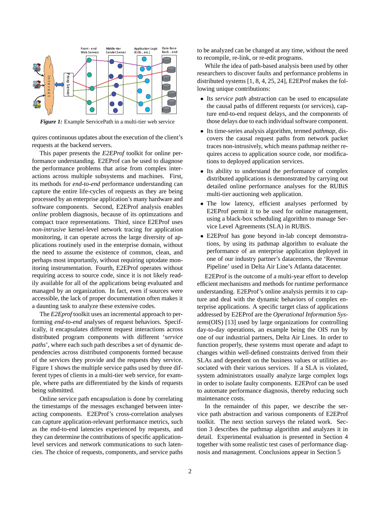

*Figure 1:* Example ServicePath in a multi-tier web service

quires continuous updates about the execution of the client's requests at the backend servers.

This paper presents the *E2EProf* toolkit for online performance understanding. E2EProf can be used to diagnose the performance problems that arise from complex interactions across multiple subsystems and machines. First, its methods for *end-to-end* performance understanding can capture the entire life-cycles of requests as they are being processed by an enterprise application's many hardware and software components. Second, E2EProf analysis enables *online* problem diagnosis, because of its optimzations and compact trace representations. Third, since E2EProf uses *non-intrusive* kernel-level network tracing for application monitoring, it can operate across the large diversity of applications routinely used in the enterprise domain, without the need to assume the existence of common, clean, and perhaps most importantly, without requiring uptodate monitoring instrumentation. Fourth, E2EProf operates without requiring access to source code, since it is not likely readily available for all of the applications being evaluated and managed by an organization. In fact, even if sources were accessible, the lack of proper documentation often makes it a daunting task to analyze these extensive codes.

The *E2Eprof* toolkit uses an incremental approach to performing *end-to-end* analyses of request behaviors. Specifically, it encapsulates different request interactions across distributed program components with different '*service paths*', where each such path describes a set of dynamic dependencies across distributed components formed because of the services they provide and the requests they service. Figure 1 shows the multiple service paths used by three different types of clients in a multi-tier web service, for example, where paths are differentiated by the kinds of requests being submitted.

Online service path encapsulation is done by correlating the timestamps of the messages exchanged between interacting components. E2EProf's cross-correlation analyses can capture application-relevant performance metrics, such as the end-to-end latencies experienced by requests, and they can determine the contributions of specific applicationlevel services and network communications to such latencies. The choice of requests, components, and service paths to be analyzed can be changed at any time, without the need to recompile, re-link, or re-edit programs.

While the idea of path-based analysis been used by other researchers to discover faults and performance problems in distributed systems [1, 8, 4, 25, 24], E2EProf makes the following unique contributions:

- Its *service path* abstraction can be used to encapsulate the causal paths of different requests (or services), capture end-to-end request delays, and the components of those delays due to each individual software component.
- Its time-series analysis algorithm, termed *pathmap*, discovers the causal request paths from network packet traces non-intrusively, which means pathmap neither requires access to application source code, nor modifications to deployed application services.
- Its ability to understand the performance of complex distributed applications is demonstrated by carrying out detailed online performance analyses for the RUBiS multi-tier auctioning web application.
- The low latency, efficient analyses performed by E2EProf permit it to be used for online management, using a black-box scheduling algorithm to manage Service Level Agreements (SLA) in RUBiS.
- E2EProf has gone beyond in-lab concept demonstrations, by using its pathmap algorithm to evaluate the performance of an enterprise application deployed in one of our industry partner's datacenters, the 'Revenue Pipeline' used in Delta Air Line's Atlanta datacenter.

E2EProf is the outcome of a multi-year effort to develop efficient mechanisms and methods for runtime performance understanding. E2EProf's online analysis permits it to capture and deal with the dynamic behaviors of complex enterprise applications. A specific target class of applications addressed by E2EProf are the *Operational Information Systems*(OIS) [13] used by large organizations for controlling day-to-day operations, an example being the OIS run by one of our industrial partners, Delta Air Lines. In order to function properly, these systems must operate and adapt to changes within well-defined constraints derived from their SLAs and dependent on the business values or utilities associated with their various services. If a SLA is violated, system administrators usually analyze large complex logs in order to isolate faulty components. E2EProf can be used to automate performance diagnosis, thereby reducing such maintenance costs.

In the remainder of this paper, we describe the service path abstraction and various components of E2EProf toolkit. The next section surveys the related work. Section 3 describes the pathmap algorithm and analyzes it in detail. Experimental evaluation is presented in Section 4 together with some realistic test cases of performance diagnosis and management. Conclusions appear in Section 5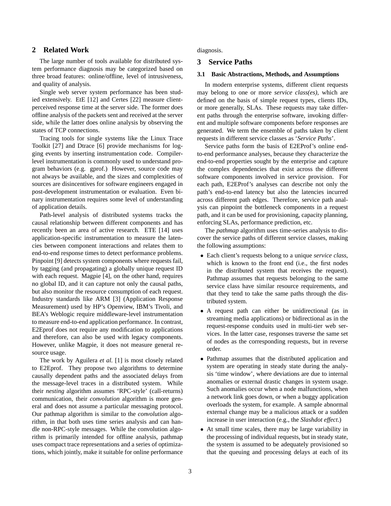# **2 Related Work**

The large number of tools available for distributed system performance diagnosis may be categorized based on three broad features: online/offline, level of intrusiveness, and quality of analysis.

Single web server system performance has been studied extensively. EtE [12] and Certes [22] measure clientperceived response time at the server side. The former does offline analysis of the packets sent and received at the server side, while the latter does online analysis by observing the states of TCP connections.

Tracing tools for single systems like the Linux Trace Toolkit [27] and Dtrace [6] provide mechanisms for logging events by inserting instrumentation code. Compilerlevel instrumentation is commonly used to understand program behaviors (e.g. gprof.) However, source code may not always be available, and the sizes and complexities of sources are disincentives for software engineers engaged in post-development instrumentation or evaluation. Even binary instrumentation requires some level of understanding of application details.

Path-level analysis of distributed systems tracks the causal relationship between different components and has recently been an area of active research. ETE [14] uses application-specific instrumentation to measure the latencies between component interactions and relates them to end-to-end response times to detect performance problems. Pinpoint [9] detects system components where requests fail, by tagging (and propagating) a globally unique request ID with each request. Magpie [4], on the other hand, requires no global ID, and it can capture not only the causal paths, but also monitor the resource consumption of each request. Industry standards like ARM [3] (Application Response Measurement) used by HP's Openview, IBM's Tivoli, and BEA's Weblogic require middleware-level instrumentation to measure end-to-end application performance. In contrast, E2Eprof does not require any modification to applications and therefore, can also be used with legacy components. However, unlike Magpie, it does not measure general resource usage.

The work by Aguilera *et al.* [1] is most closely related to E2Eprof. They propose two algorithms to determine causally dependent paths and the associated delays from the message-level traces in a distributed system. While their *nesting* algorithm assumes 'RPC-style' (call-returns) communication, their *convolution* algorithm is more general and does not assume a particular messaging protocol. Our pathmap algorithm is similar to the *convolution* algorithm, in that both uses time series analysis and can handle non-RPC-style messages. While the convolution algorithm is primarily intended for offline analysis, pathmap uses compact trace representations and a series of optimizations, which jointly, make it suitable for online performance diagnosis.

## **3 Service Paths**

## **3.1 Basic Abstractions, Methods, and Assumptions**

In modern enterprise systems, different client requests may belong to one or more *service class(es)*, which are defined on the basis of simple request types, clients IDs, or more generally, SLAs. These requests may take different paths through the enterprise software, invoking different and multiple software components before responses are generated. We term the ensemble of paths taken by client requests in different service classes as '*Service Paths*'.

Service paths form the basis of E2EProf's online endto-end performance analyses, because they characterize the end-to-end properties sought by the enterprise and capture the complex dependencies that exist across the different software components involved in service provision. For each path, E2EProf's analyses can describe not only the path's end-to-end latency but also the latencies incurred across different path edges. Therefore, service path analysis can pinpoint the bottleneck components in a request path, and it can be used for provisioning, capacity planning, enforcing SLAs, performance prediction, etc.

The *pathmap* algorithm uses time-series analysis to discover the service paths of different service classes, making the following assumptions:

- Each client's requests belong to a unique *service class*, which is known to the front end (i.e., the first nodes in the distributed system that receives the request). Pathmap assumes that requests belonging to the same service class have similar resource requirements, and that they tend to take the same paths through the distributed system.
- A request path can either be unidirectional (as in streaming media applications) or bidirectional as in the request-response conduits used in multi-tier web services. In the latter case, responses traverse the same set of nodes as the corresponding requests, but in reverse order.
- Pathmap assumes that the distributed application and system are operating in steady state during the analysis 'time window', where deviations are due to internal anomalies or external drastic changes in system usage. Such anomalies occur when a node malfunctions, when a network link goes down, or when a buggy application overloads the system, for example. A sample abnormal external change may be a malicious attack or a sudden increase in user interaction (e.g., the *Slashdot effect*.)
- At small time scales, there may be large variability in the processing of individual requests, but in steady state, the system is assumed to be adequately provisioned so that the queuing and processing delays at each of its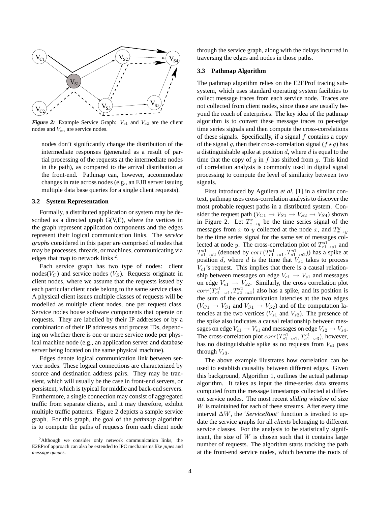

*Figure 2:* Example Service Graph:  $V_{c1}$  and  $V_{c2}$  are the client nodes and  $V_{sn}$  are service nodes.

nodes don't significantly change the distribution of the intermediate responses (generated as a result of partial processing of the requests at the intermediate nodes in the path), as compared to the arrival distribution at the front-end. Pathmap can, however, accommodate changes in rate across nodes (e.g., an EJB server issuing multiple data base queries for a single client requests).

#### **3.2 System Representation**

Formally, a distributed application or system may be described as a directed graph G(V,E), where the vertices in the graph represent application components and the edges represent their logical communication links. The *service graphs* considered in this paper are comprised of nodes that may be processes, threads, or machines, communicating via edges that map to network links  $2$ .

Each service graph has two type of nodes: client nodes( $V_C$ ) and service nodes ( $V_S$ ). Requests originate in client nodes, where we assume that the requests issued by each particular client node belong to the same service class. A physical client issues multiple classes of requests will be modelled as multiple client nodes, one per request class. Service nodes house software components that operate on requests. They are labelled by their IP addresses or by a combination of their IP addresses and process IDs, depending on whether there is one or more service node per physical machine node (e.g., an application server and database server being located on the same physical machine).

Edges denote logical communication link between service nodes. These logical connections are characterized by source and destination address pairs. They may be transient, which will usually be the case in front-end servers, or persistent, which is typical for middle and back-end servers. Furthermore, a single connection may consist of aggregated traffic from separate clients, and it may therefore, exhibit multiple traffic patterns. Figure 2 depicts a sample service graph. For this graph, the goal of the *pathmap* algorithm is to compute the paths of requests from each client node

through the service graph, along with the delays incurred in traversing the edges and nodes in those paths.

### **3.3 Pathmap Algorithm**

The pathmap algorithm relies on the E2EProf tracing subsystem, which uses standard operating system facilities to collect message traces from each service node. Traces are not collected from client nodes, since those are usually beyond the reach of enterprises. The key idea of the pathmap algorithm is to convert these message traces to per-edge time series signals and then compute the cross-correlations of these signals. Specifically, if a signal  $f$  contains a copy of the signal g, then their cross-correlation signal  $(f \star g)$  has a distinguishable spike at position  $d$ , where  $d$  is equal to the time that the copy of q in f has shifted from q. This kind of correlation analysis is commonly used in digital signal processing to compute the level of similarity between two signals.

First introduced by Aguilera *et al.* [1] in a similar context, pathmap uses cross-correlation analysis to discover the most probable request paths in a distributed system. Consider the request path ( $V_{C1} \rightarrow V_{S1} \rightarrow V_{S2} \rightarrow V_{S4}$ ) shown in Figure 2. Let  $T_{x \to y}^x$  be the time series signal of the messages from x to y collected at the node x, and  $T_{x \to y}^y$ be the time series signal for the same set of messages collected at node *y*. The cross-correlation plot of  $T_{c1\rightarrow s1}^{s1}$  and  $T_{s1\rightarrow s2}^{s1}$  (denoted by  $corr(T_{c1\rightarrow s1}^{s1}, T_{s1\rightarrow s2}^{s1})$ ) has a spike at position  $d$ , where  $d$  is the time that  $V_{s1}$  takes to process  $V_{c1}$ 's request. This implies that there is a causal relationship between messages on edge  $V_{c1} \rightarrow V_{s1}$  and messages on edge  $V_{s1} \rightarrow V_{s2}$ . Similarly, the cross correlation plot  $corr(T_{c1\rightarrow s1}^{s1}, T_{s2\rightarrow s4}^{s2})$  also has a spike, and its position is the sum of the communication latencies at the two edges  $(V_{C1} \rightarrow V_{S1}$  and  $V_{S1} \rightarrow V_{S2}$ ) and of the computation latencies at the two vertices  $(V_{s1}$  and  $V_{s2})$ . The presence of the spike also indicates a causal relationship between messages on edge  $V_{c1} \rightarrow V_{s1}$  and messages on edge  $V_{s2} \rightarrow V_{s4}$ . The cross-correlation plot  $corr(T_{c1\rightarrow s1}^{s1}, T_{s1\rightarrow s3}^{s1})$ , however, has no distinguishable spike as no requests from  $V_{c1}$  pass through  $V_{s3}$ .

The above example illustrates how correlation can be used to establish causality between different edges. Given this background, Algorithm 1, outlines the actual pathmap algorithm. It takes as input the time-series data streams computed from the message timestamps collected at different service nodes. The most recent *sliding window* of size W is maintained for each of these streams. After every time interval ∆W, the '*ServiceRoot*' function is invoked to update the service graphs for all *clients* belonging to different service classes. For the analysis to be statistically significant, the size of  $W$  is chosen such that it contains large number of requests. The algorithm starts tracking the path at the front-end service nodes, which become the roots of

<sup>2</sup>Although we consider only network communication links, the E2EProf approach can also be extended to IPC mechanisms like *pipes* and *message queues*.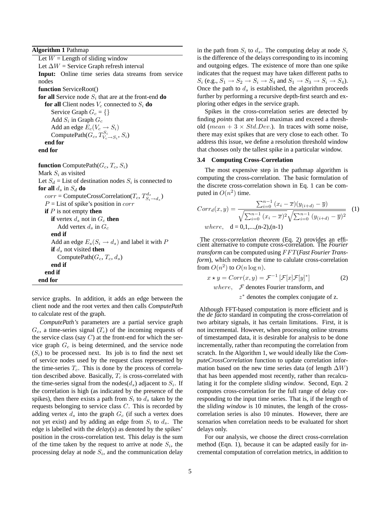**Algorithm 1** Pathmap

Let  $W =$  Length of sliding window Let  $\Delta W$  = Service Graph refresh interval **Input:** Online time series data streams from service nodes **function** ServiceRoot() **for all** Service node  $S_i$  that are at the front-end **do for all** Client nodes  $V_c$  connected to  $S_i$  **do** Service Graph  $G_c = \{\}$ Add  $S_i$  in Graph  $G_c$ Add an edge  $E_c(V_c \rightarrow S_i)$ Compute Path $(G_c, T_{V_c \to S_i}^{S_i}, S_i)$ **end for end for function** ComputePath $(G_c, T_c, S_i)$ Mark  $S_i$  as visited Let  $S_d$  = List of destination nodes  $S_i$  is connected to **for all**  $d_s$  in  $S_d$  **do**  $corr =$  ComputeCrossCorrelation( $T_c, T_{S_i \rightarrow d_s}^{d_s}$ )  $P =$  List of spike's position in *corr* **if** P is not empty **then if** vertex  $d_s$  not in  $G_c$  **then** Add vertex  $d_s$  in  $G_c$ **end if** Add an edge  $E_s(S_i \rightarrow d_s)$  and label it with P **if**  $d_s$  not visited **then** ComputePath $(G_c, T_c, d_s)$ **end if end if end for**

service graphs. In addition, it adds an edge between the client node and the root vertex and then calls *ComputePath* to calculate rest of the graph.

*ComputePath's* parameters are a partial service graph  $G_c$ , a time-series signal  $(T_c)$  of the incoming requests of the service class (say  $C$ ) at the front-end for which the service graph  $G_c$  is being determined, and the service node  $(S<sub>i</sub>)$  to be processed next. Its job is to find the next set of service nodes used by the request class represented by the time-series  $T_c$ . This is done by the process of correlation described above. Basically,  $T_c$  is cross-correlated with the time-series signal from the nodes( $d_s$ ) adjacent to  $S_i$ . If the correlation is high (as indicated by the presence of the spikes), then there exists a path from  $S_i$  to  $d_s$  taken by the requests belonging to service class C. This is recorded by adding vertex  $d_s$  into the graph  $G_c$  (if such a vertex does not yet exist) and by adding an edge from  $S_i$  to  $d_s$ . The edge is labelled with the *delay*(s) as denoted by the spikes' position in the cross-correlation test. This delay is the sum of the time taken by the request to arrive at node  $S_i$ , the processing delay at node  $S_i$ , and the communication delay

in the path from  $S_i$  to  $d_s$ . The computing delay at node  $S_i$ is the difference of the delays corresponding to its incoming and outgoing edges. The existence of more than one spike indicates that the request may have taken different paths to  $S_i$  (e.g.,  $S_1 \rightarrow S_2 \rightarrow S_i \rightarrow S_4$  and  $S_1 \rightarrow S_3 \rightarrow S_i \rightarrow S_4$ ). Once the path to  $d_s$  is established, the algorithm proceeds further by performing a recursive depth-first search and exploring other edges in the service graph.

Spikes in the cross-correlation series are detected by finding *points* that are local maximas and exceed a threshold (*mean* +  $3 \times Std. Dev$ ). In traces with some noise, there may exist spikes that are very close to each other. To address this issue, we define a resolution threshold window that chooses only the tallest spike in a particular window.

# **3.4 Computing Cross-Correlation**

The most expensive step in the pathmap algorithm is computing the cross-correlation. The basic formulation of the discrete cross-correlation shown in Eq. 1 can be computed in  $O(n^2)$  time.

$$
Corr_d(x,y) = \frac{\sum_{i=0}^{n-1} (x_i - \overline{x})(y_{(i+d)} - \overline{y})}{\sqrt{\sum_{i=0}^{n-1} (x_i - \overline{x})^2} \sqrt{\sum_{i=0}^{n-1} (y_{(i+d)} - \overline{y})^2}}
$$
(1)  
where, d = 0,1,...,(n-2),(n-1)

The *cross-correlation theorem* (Eq. 2) provides an effi-cient alternative to compute cross-correlation. The *Fourier transform* can be computed using  $FFT(Fast Fourier Trans$ *form*), which reduces the time to calulate cross-correlation from  $O(n^2)$  to  $O(n \log n)$ .

$$
x \star y = Corr(x, y) = \mathcal{F}^{-1} \left[ \mathcal{F}[x] \mathcal{F}[y]^* \right]
$$
 (2)

where,  $\mathcal F$  denotes Fourier transform, and

z <sup>∗</sup> denotes the complex conjugate of z.

Although FFT-based computation is more efficient and is the *de facto* standard in computing the cross-correlation of two arbitary signals, it has certain limitations. First, it is not incremental. However, when processing online streams of timestamped data, it is desirable for analysis to be done incrementally, rather than recomputing the correlation from scratch. In the Algorithm 1, we would ideally like the *ComputeCrossCorrelation* function to update correlation information based on the new time series data (of length  $\Delta W$ ) that has been appended most recently, rather than recalculating it for the complete *sliding window*. Second, Eqn. 2 computes cross-correlation for the full range of delay corresponding to the input time series. That is, if the length of the *sliding window* is 10 minutes, the length of the crosscorrelation series is also 10 minutes. However, there are scenarios when correlation needs to be evaluated for short delays only.

For our analysis, we choose the direct cross-correlation method (Eqn. 1), because it can be adapted easily for incremental computation of correlation metrics, in addition to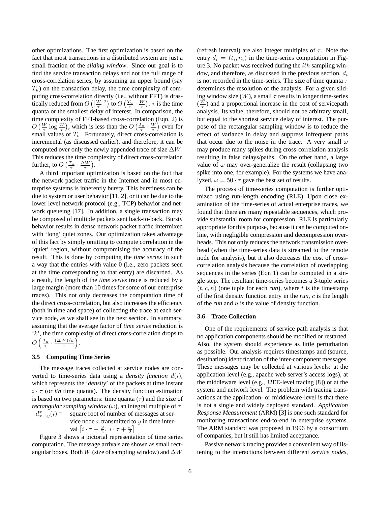other optimizations. The first optimization is based on the fact that most transactions in a distributed system are just a small fraction of the *sliding window*. Since our goal is to find the service transaction delays and not the full range of cross-correlation series, by assuming an upper bound (say  $T_u$ ) on the transaction delay, the time complexity of computing cross-correlation directly (i.e., without FFT) is drastically reduced from  $O\left(\left[\frac{W}{\tau}\right]^2\right)$  to  $O\left(\frac{T_u}{\tau} \cdot \frac{W}{\tau}\right)$ .  $\tau$  is the time quanta or the smallest delay of interest. In comparison, the time complexity of FFT-based cross-correlation (Eqn. 2) is  $O\left(\frac{W}{\tau}\log\frac{W}{\tau}\right)$ , which is less than the  $O\left(\frac{T_u}{\tau}\cdot\frac{W}{\tau}\right)$  even for small values of  $T_u$ . Fortunately, direct cross-correlation is incremental (as discussed earlier), and therefore, it can be computed over only the newly appended trace of size  $\Delta W$ . This reduces the time complexity of direct cross-correlation further, to  $O\left(\frac{T_u}{\tau} \cdot \frac{\Delta W}{\tau}\right)$ .

A third important optimization is based on the fact that the network packet traffic in the Internet and in most enterprise systems is inherently bursty. This burstiness can be due to system or user behavior [11, 2], or it can be due to the lower level network protocol (e.g., TCP) behavior and network queueing [17]. In addition, a single transaction may be composed of multiple packets sent back-to-back. Bursty behavior results in dense network packet traffic intermixed with 'long' quiet zones. Our optimization takes advantage of this fact by simply omitting to compute correlation in the 'quiet' region, without compromising the accuracy of the result. This is done by computing the *time series* in such a way that the entries with value 0 (i.e., zero packets seen at the time corresponding to that entry) are discarded. As a result, the length of the *time series* trace is reduced by a large margin (more than 10 times for some of our enterprise traces). This not only decreases the computation time of the direct cross-correlation, but also increases the efficiency (both in time and space) of collecting the trace at each service node, as we shall see in the next section. In summary, assuming that the average factor of *time series* reduction is 'k', the time complexity of direct cross-correlation drops to  $O\left(\frac{T_u}{\tau} \cdot \frac{(\Delta W)/k}{\tau}\right)$  $\frac{\frac{V}{r}}{r}$ ).

#### **3.5 Computing Time Series**

The message traces collected at service nodes are converted to time-series data using a *density function*  $d(i)$ , which represents the '*density*' of the packets at time instant  $i \cdot \tau$  (or *ith* time quanta). The density function estimation is based on two parameters: time quanta  $(\tau)$  and the size of *rectangular sampling window* ( $\omega$ ), an integral multiple of  $\tau$ .  $d_{x\rightarrow y}^x$ 

square root of number of messages at service node  $x$  transmitted to  $y$  in time inter-

val  $\left[i \cdot \tau - \frac{\omega}{2}, i \cdot \tau + \frac{\omega}{2}\right]$ 

Figure 3 shows a pictorial representation of time series computation. The message arrivals are shown as small rectangular boxes. Both W (size of sampling window) and  $\Delta W$  (refresh interval) are also integer multiples of  $\tau$ . Note the entry  $d_i = (t_i, n_i)$  in the time-series computation in Figure 3. No packet was received during the  $ith$  sampling window, and therefore, as discussed in the previous section,  $d_i$ is not recorded in the time-series. The size of time quanta  $\tau$ determines the resolution of the analysis. For a given sliding window size  $(W)$ , a small  $\tau$  results in longer time-series  $(\frac{W}{\tau})$  and a proportional increase in the cost of servicepath analysis. Its value, therefore, should not be arbitrary small, but equal to the shortest service delay of interest. The purpose of the rectangular sampling window is to reduce the effect of variance in delay and suppress infrequent paths that occur due to the noise in the trace. A very small  $\omega$ may produce many spikes during cross-correlation analysis resulting in false delays/paths. On the other hand, a large value of  $\omega$  may over-generalize the result (collapsing two spike into one, for example). For the systems we have analyzed,  $\omega = 50 \cdot \tau$  gave the best set of results.

The process of time-series computation is further optimized using run-length encoding (RLE). Upon close examination of the time-series of actual enterprise traces, we found that there are many repeatable sequences, which provide substantial room for compression. RLE is particularly appropriate for this purpose, because it can be computed online, with negligible compression and decompression overheads. This not only reduces the network transmission overhead (when the time-series data is streamed to the remote node for analysis), but it also decreases the cost of crosscorrelation analysis because the correlation of overlapping sequences in the series (Eqn 1) can be computed in a single step. The resultant time-series becomes a 3-tuple series  $(t, c, n)$  (one tuple for each *run*), where t is the timestamp of the first density function entry in the *run*, c is the length of the *run* and n is the value of density function.

## **3.6 Trace Collection**

One of the requirements of service path analysis is that no application components should be modified or restarted. Also, the system should experience as little perturbation as possible. Our analysis requires timestamps and (source, destination) identification of the inter-component messages. These messages may be collected at various levels: at the application level (e.g., apache web server's access logs), at the middleware level (e.g., J2EE-level tracing [8]) or at the system and network level. The problem with tracing transactions at the application- or middleware-level is that there is not a single and widely deployed standard. *Application Response Measurement* (ARM) [3] is one such standard for monitoring transactions end-to-end in enterprise systems. The ARM standard was proposed in 1996 by a consortium of companies, but it still has limited acceptance.

Passive network tracing provides a convenient way of listening to the interactions between different *service nodes*,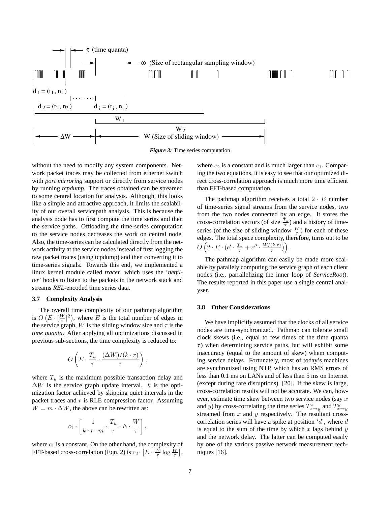

*Figure 3:* Time series computation

without the need to modify any system components. Network packet traces may be collected from ethernet switch with *port mirroring* support or directly from service nodes by running *tcpdump*. The traces obtained can be streamed to some central location for analysis. Although, this looks like a simple and attractive approach, it limits the scalability of our overall servicepath analysis. This is because the analysis node has to first compute the time series and then the service paths. Offloading the time-series computation to the service nodes decreases the work on central node. Also, the time-series can be calculated directly from the network activity at the service nodes instead of first logging the raw packet traces (using tcpdump) and then converting it to time-series signals. Towards this end, we implemented a linux kernel module called *tracer*, which uses the '*netfilter*' hooks to listen to the packets in the network stack and streams *REL*-encoded time series data.

#### **3.7 Complexity Analysis**

The overall time complexity of our pathmap algorithm is  $O(E \cdot \left[\frac{W}{\tau}\right]^2)$ , where E is the total number of edges in the service graph, W is the sliding window size and  $\tau$  is the *time quanta*. After applying all optimizations discussed in previous sub-sections, the time complexity is reduced to:

$$
O\left(E\cdot \frac{T_u}{\tau}\cdot \frac{(\Delta W)/(k\cdot r)}{\tau}\right),
$$

where  $T_u$  is the maximum possible transaction delay and  $\Delta W$  is the service graph update interval. k is the optimization factor achieved by skipping quiet intervals in the packet traces and  $r$  is RLE compression factor. Assuming  $W = m \cdot \Delta W$ , the above can be rewritten as:

$$
c_1 \cdot \left[ \frac{1}{k \cdot r \cdot m} \cdot \frac{T_u}{\tau} \cdot E \cdot \frac{W}{\tau} \right],
$$

where  $c_1$  is a constant. On the other hand, the complexity of FFT-based cross-correlation (Eqn. 2) is  $c_2 \cdot \left[E \cdot \frac{W}{\tau} \log \frac{W}{\tau}\right]$ ,

where  $c_2$  is a constant and is much larger than  $c_1$ . Comparing the two equations, it is easy to see that our optimized direct cross-correlation approach is much more time efficient than FFT-based computation.

The pathmap algorithm receives a total  $2 \cdot E$  number of time-series signal streams from the service nodes, two from the two nodes connected by an edge. It stores the cross-correlation vectors (of size  $\frac{T_u}{\tau}$ ) and a history of timeseries (of the size of sliding window  $\frac{W}{\tau}$ ) for each of these edges. The total space complexity, therefore, turns out to be  $O\left(2 \cdot E \cdot (c' \cdot \frac{T_u}{\tau} + c'' \cdot \frac{W/(k \cdot r)}{\tau}\right)$  $\frac{(k\cdot r)}{\tau})\bigg).$ 

The pathmap algorithm can easily be made more scalable by parallely computing the service graph of each client nodes (i.e., parrallelizing the inner loop of *ServiceRoot*). The results reported in this paper use a single central analyser.

### **3.8 Other Considerations**

We have implicitly assumed that the clocks of all service nodes are time-synchronized. Pathmap can tolerate small clock skews (i.e., equal to few times of the time quanta  $\tau$ ) when determining service paths, but will exhibit some inaccuracy (equal to the amount of skew) whem computing service delays. Fortunately, most of today's machines are synchronized using NTP, which has an RMS errors of less than 0.1 ms on LANs and of less than 5 ms on Internet (except during rare disruptions) [20]. If the skew is large, cross-correlation results will not be accurate. We can, however, estimate time skew between two service nodes (say  $x$ and y) by cross-correlating the time series  $T_{x \to y}^x$  and  $T_{x \to y}^y$ streamed from  $x$  and  $y$  respectively. The resultant crosscorrelation series will have a spike at position  $d'$ , where d is equal to the sum of the time by which  $x$  lags behind  $y$ and the network delay. The latter can be computed easily by one of the various passive network measurement techniques [16].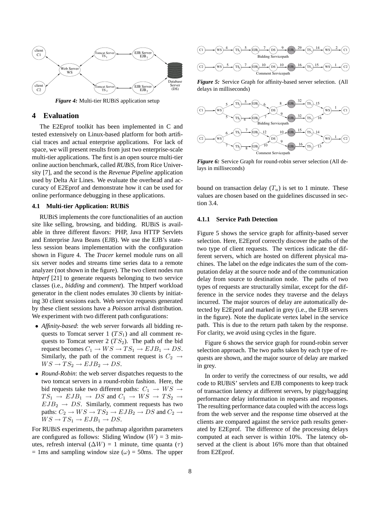

*Figure 4:* Multi-tier RUBiS application setup

## **4 Evaluation**

The E2Eprof toolkit has been implemented in C and tested extensively on Linux-based platform for both artificial traces and actual enterprise applications. For lack of space, we will present results from just two enterprise-scale multi-tier applications. The first is an open source multi-tier online auction benchmark, called *RUBiS*, from Rice University [7], and the second is the *Revenue Pipeline* application used by Delta Air Lines. We evaluate the overhead and accuracy of E2Eprof and demonstrate how it can be used for online performance debugging in these applications.

## **4.1 Multi-tier Application: RUBiS**

RUBiS implements the core functionalities of an auction site like selling, browsing, and bidding. RUBiS is available in three different flavors: PHP, Java HTTP Servlets and Enterprise Java Beans (EJB). We use the EJB's stateless session beans implementation with the configuration shown in Figure 4. The *Tracer* kernel module runs on all six server nodes and streams time series data to a remote analyzer (not shown in the figure). The two client nodes run *httperf* [21] to generate requests belonging to two service classes (i.e., *bidding* and *comment*). The httperf workload generator in the client nodes emulates 30 clients by initiating 30 client sessions each. Web service requests generated by these client sessions have a *Poisson* arrival distribution. We experiment with two different path configurations:

- *Affinity-based*: the web server forwards all bidding requests to Tomcat server 1 ( $TS_1$ ) and all comment requests to Tomcat server 2  $(TS_2)$ . The path of the bid request becomes  $C_1 \rightarrow WS \rightarrow TS_1 \rightarrow EJB_1 \rightarrow DS$ . Similarly, the path of the comment request is  $C_2 \rightarrow$  $WS \rightarrow TS_2 \rightarrow EJB_2 \rightarrow DS.$
- *Round-Robin*: the web server dispatches requests to the two tomcat servers in a round-robin fashion. Here, the bid requests take two different paths:  $C_1 \rightarrow WS \rightarrow$  $TS_1 \rightarrow EJB_1 \rightarrow DS$  and  $C_1 \rightarrow WS \rightarrow TS_2 \rightarrow$  $EJB_2 \rightarrow DS$ . Similarly, comment requests has two paths:  $C_2 \rightarrow WS \rightarrow TS_2 \rightarrow EJB_2 \rightarrow DS$  and  $C_2 \rightarrow$  $WS \to TS_1 \to EJB_1 \to DS.$

For RUBiS experiments, the pathmap algorithm parameters are configured as follows: Sliding Window  $(W) = 3$  minutes, refresh interval ( $\Delta W$ ) = 1 minute, time quanta ( $\tau$ )  $= 1$ ms and sampling window size ( $\omega$ ) = 50ms. The upper



*Figure 5:* Service Graph for affinity-based server selection. (All delays in milliseconds)



*Figure 6:* Service Graph for round-robin server selection (All delays in milliseconds)

bound on transaction delay  $(T_u)$  is set to 1 minute. These values are chosen based on the guidelines discussed in section 3.4.

## **4.1.1 Service Path Detection**

Figure 5 shows the service graph for affinity-based server selection. Here, E2Eprof correctly discover the paths of the two type of client requests. The vertices indicate the different servers, which are hosted on different physical machines. The label on the edge indicates the sum of the computation delay at the source node and of the communication delay from source to destination node. The paths of two types of requests are structurally similar, except for the difference in the service nodes they traverse and the delays incurred. The major sources of delay are automatically detected by E2Eprof and marked in grey (i.e., the EJB servers in the figure). Note the duplicate vertex label in the service path. This is due to the return path taken by the response. For clarity, we avoid using cycles in the figure.

Figure 6 shows the service graph for round-robin server selection approach. The two paths taken by each type of requests are shown, and the major source of delay are marked in grey.

In order to verify the correctness of our results, we add code to RUBiS' servlets and EJB components to keep track of transaction latency at different servers, by piggybagging performance delay information in requests and responses. The resulting performance data coupled with the access logs from the web server and the response time observed at the clients are compared against the service path results generated by E2Eprof. The difference of the processing delays computed at each server is within 10%. The latency observed at the client is about 16% more than that obtained from E2Eprof.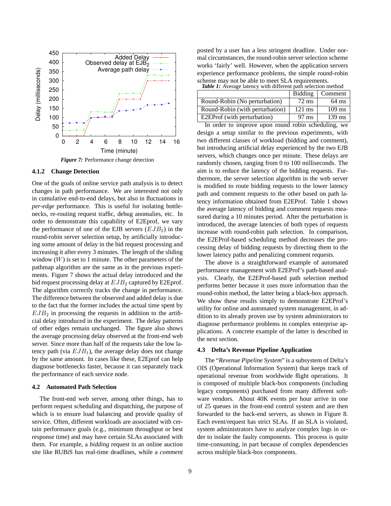

*Figure 7:* Performance change detection

## **4.1.2 Change Detection**

One of the goals of online service path analysis is to detect changes in path performance. We are interested not only in cumulative end-to-end delays, but also in fluctuations in *per-edge* performance. This is useful for isolating bottlenecks, re-routing request traffic, debug anomalies, etc. In order to demonstrate this capability of E2Eprof, we vary the performance of one of the EJB servers  $(EJB<sub>2</sub>)$  in the round-robin server selection setup, by artificially introducing some amount of delay in the bid request processing and increasing it after every 3 minutes. The length of the sliding window  $(W)$  is set to 1 minute. The other parameters of the pathmap algorithm are the same as in the previous experiments. Figure 7 shows the actual delay introduced and the bid request processing delay at  $EJB_2$  captured by E2Eprof. The algorithm correctly tracks the change in performance. The difference between the observed and added delay is due to the fact that the former includes the actual time spent by  $EJB<sub>2</sub>$  in processing the requests in addition to the artificial delay introduced in the experiment. The delay patterns of other edges remain unchanged. The figure also shows the average processing delay observed at the front-end web server. Since more than half of the requests take the low latency path (via  $EJB<sub>1</sub>$ ), the average delay does not change by the same amount. In cases like these, E2Eprof can help diagnose bottlenecks faster, because it can separately track the performance of each service node.

#### **4.2 Automated Path Selection**

The front-end web server, among other things, has to perform request scheduling and dispatching, the purpose of which is to ensure load balancing and provide quality of service. Often, different workloads are associated with certain performance goals (e.g., minimum throughput or best response time) and may have certain SLAs associated with them. For example, a *bidding* request in an online auction site like RUBiS has real-time deadlines, while a *comment* posted by a user has a less stringent deadline. Under normal circumstances, the round-robin server selection scheme works 'fairly' well. However, when the application servers experience performance problems, the simple round-robin scheme may not be able to meet SLA requirements.

| <b>Table 1:</b> Average latency with different path selection method |            |  |
|----------------------------------------------------------------------|------------|--|
|                                                                      | $\sqrt{2}$ |  |

|                                 | <b>Bidding</b>   | $\mid$ Comment   |
|---------------------------------|------------------|------------------|
| Round-Robin (No perturbation)   | 72 ms            | $64 \text{ ms}$  |
| Round-Robin (with perturbation) | $121 \text{ ms}$ | $109 \text{ ms}$ |
| E2EProf (with perturbation)     | 97 ms            | $139$ ms         |
|                                 |                  |                  |

In order to improve upon round robin scheduling, we design a setup similar to the previous experiments, with two different classes of workload (bidding and comment), but introducing artificial delay experienced by the two EJB servers, which changes once per minute. These delays are randomly chosen, ranging from 0 to 100 milliseconds. The aim is to reduce the latency of the bidding requests. Furthermore, the server selection algorithm in the web server is modified to route bidding requests to the lower latency path and comment requests to the other based on path latency information obtained from E2EProf. Table 1 shows the average latency of bidding and comment requests measured during a 10 minutes period. After the perturbation is introduced, the average latencies of both types of requests increase with round-robin path selection. In comparison, the E2EProf-based scheduling method decreases the processing delay of bidding requests by directing them to the lower latency paths and penalizing comment requests.

The above is a straightforward example of automated performance management with E2EProf's path-based analysis. Clearly, the E2EProf-based path selection method performs better because it uses more information than the round-robin method, the latter being a black-box approach. We show these results simply to demonstrate E2EProf's utility for online and automated system management, in addition to its already proven use by system administrators to diagnose performance problems in complex enterprise applications. A concrete example of the latter is described in the next section.

#### **4.3 Delta's Revenue Pipeline Application**

The "*Revenue Pipeline System*" is a subsystem of Delta's OIS (Operational Information System) that keeps track of operational revenue from worldwide flight operations. It is composed of multiple black-box components (including legacy components) purchased from many different software vendors. About 40K events per hour arrive in one of 25 queues in the front-end control system and are then forwarded to the back-end servers, as shown in Figure 8. Each event/request has strict SLAs. If an SLA is violated, system administrators have to analyze complex logs in order to isolate the faulty components. This process is quite time-consuming, in part because of complex dependencies across multiple black-box components.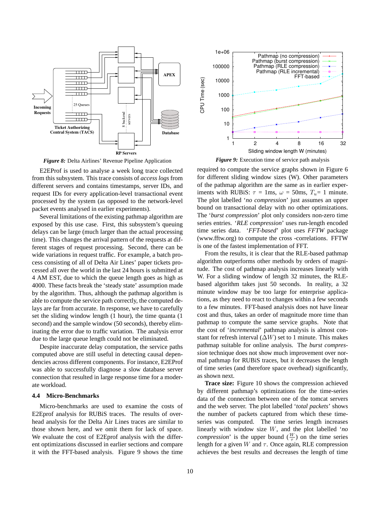

*Figure 8:* Delta Airlines' Revenue Pipeline Application

E2EProf is used to analyse a week long trace collected from this subsystem. This trace consists of *access logs* from different servers and contains timestamps, server IDs, and request IDs for every application-level transactional event processed by the system (as opposed to the network-level packet events analysed in earlier experiments).

Several limitations of the existing pathmap algorithm are exposed by this use case. First, this subsystem's queuing delays can be large (much larger than the actual processing time). This changes the arrival pattern of the requests at different stages of request processing. Second, there can be wide variations in request traffic. For example, a batch process consisting of all of Delta Air Lines' paper tickets processed all over the world in the last 24 hours is submitted at 4 AM EST, due to which the queue length goes as high as 4000. These facts break the 'steady state' assumption made by the algorithm. Thus, although the pathmap algorithm is able to compute the service path correctly, the computed delays are far from accurate. In response, we have to carefully set the sliding window length (1 hour), the time quanta (1 second) and the sample window (50 seconds), thereby eliminating the error due to traffic variation. The analysis error due to the large queue length could not be eliminated.

Despite inaccurate delay computation, the service paths computed above are still useful in detecting causal dependencies across different components. For instance, E2EProf was able to successfully diagnose a slow database server connection that resulted in large response time for a moderate workload.

# **4.4 Micro-Benchmarks**

Micro-benchmarks are used to examine the costs of E2Eprof analysis for RUBiS traces. The results of overhead analysis for the Delta Air Lines traces are similar to those shown here, and we omit them for lack of space. We evaluate the cost of E2Eprof analysis with the different optimizations discussed in earlier sections and compare it with the FFT-based analysis. Figure 9 shows the time



*Figure 9:* Execution time of service path analysis

required to compute the service graphs shown in Figure 6 for different sliding window sizes (W). Other parameters of the pathmap algorithm are the same as in earlier experiments with RUBiS:  $\tau = 1$ ms,  $\omega = 50$ ms,  $T_u = 1$  minute. The plot labelled '*no compression*' just assumes an upper bound on transactional delay with no other optimizations. The '*burst compression*' plot only considers non-zero time series entries. '*RLE compression*' uses run-length encoded time series data. '*FFT-based*' plot uses *FFTW* package (www.fftw.org) to compute the cross -correlations. FFTW is one of the fastest implementation of FFT.

From the results, it is clear that the RLE-based pathmap algorithm outperforms other methods by orders of magnitude. The cost of pathmap analysis increases linearly with W. For a sliding window of length 32 minutes, the RLEbased algorithm takes just 50 seconds. In reality, a 32 minute window may be too large for enterprise applications, as they need to react to changes within a few seconds to a few minutes. FFT-based analysis does not have linear cost and thus, takes an order of magnitude more time than pathmap to compute the same service graphs. Note that the cost of '*incremental*' pathmap analysis is almost constant for refresh interval  $(\Delta W)$  set to 1 minute. This makes pathmap suitable for online analysis. The *burst compression* technique does not show much improvement over normal pathmap for RUBiS traces, but it decreases the length of time series (and therefore space overhead) significantly, as shown next.

**Trace size:** Figure 10 shows the compression achieved by different pathmap's optimizations for the time-series data of the connection between one of the tomcat servers and the web server. The plot labelled '*total packets*' shows the number of packets captured from which these timeseries was computed. The time series length increases linearly with window size W, and the plot labelled '*no compression*' is the upper bound  $(\frac{W}{\tau})$  on the time series length for a given W and  $\tau$ . Once again, RLE compression achieves the best results and decreases the length of time